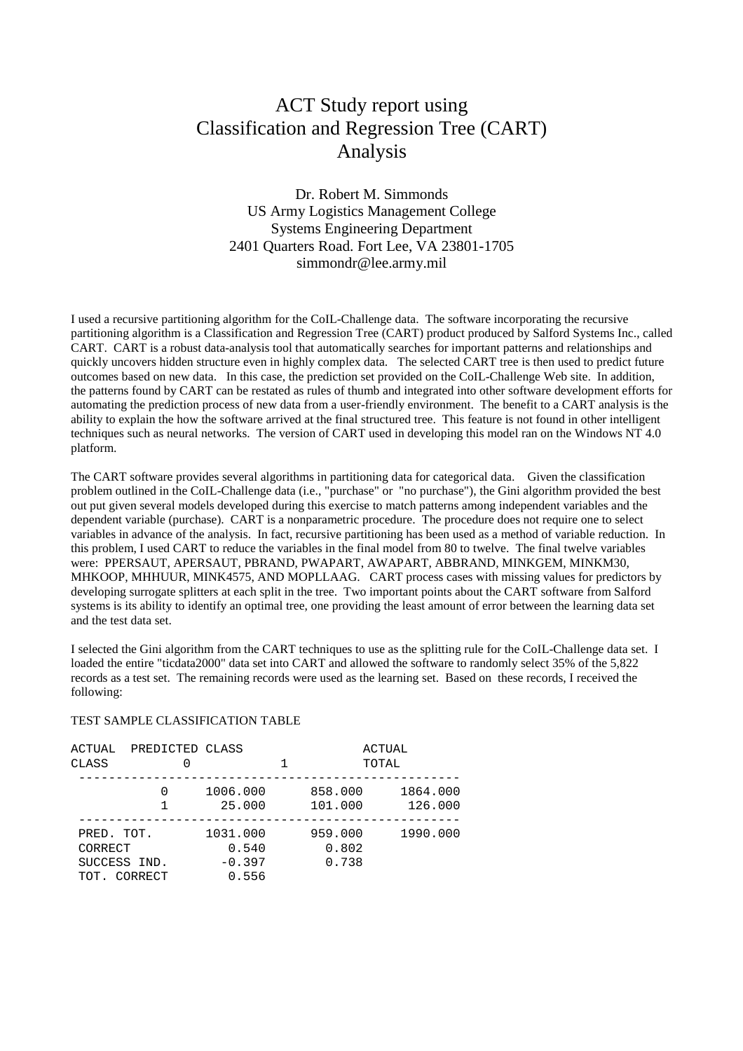## ACT Study report using Classification and Regression Tree (CART) Analysis

Dr. Robert M. Simmonds US Army Logistics Management College Systems Engineering Department 2401 Quarters Road. Fort Lee, VA 23801-1705 simmondr@lee.army.mil

I used a recursive partitioning algorithm for the CoIL-Challenge data. The software incorporating the recursive partitioning algorithm is a Classification and Regression Tree (CART) product produced by Salford Systems Inc., called CART. CART is a robust data-analysis tool that automatically searches for important patterns and relationships and quickly uncovers hidden structure even in highly complex data. The selected CART tree is then used to predict future outcomes based on new data. In this case, the prediction set provided on the CoIL-Challenge Web site. In addition, the patterns found by CART can be restated as rules of thumb and integrated into other software development efforts for automating the prediction process of new data from a user-friendly environment. The benefit to a CART analysis is the ability to explain the how the software arrived at the final structured tree. This feature is not found in other intelligent techniques such as neural networks. The version of CART used in developing this model ran on the Windows NT 4.0 platform.

The CART software provides several algorithms in partitioning data for categorical data. Given the classification problem outlined in the CoIL-Challenge data (i.e., "purchase" or "no purchase"), the Gini algorithm provided the best out put given several models developed during this exercise to match patterns among independent variables and the dependent variable (purchase). CART is a nonparametric procedure. The procedure does not require one to select variables in advance of the analysis. In fact, recursive partitioning has been used as a method of variable reduction. In this problem, I used CART to reduce the variables in the final model from 80 to twelve. The final twelve variables were: PPERSAUT, APERSAUT, PBRAND, PWAPART, AWAPART, ABBRAND, MINKGEM, MINKM30, MHKOOP, MHHUUR, MINK4575, AND MOPLLAAG. CART process cases with missing values for predictors by developing surrogate splitters at each split in the tree. Two important points about the CART software from Salford systems is its ability to identify an optimal tree, one providing the least amount of error between the learning data set and the test data set.

I selected the Gini algorithm from the CART techniques to use as the splitting rule for the CoIL-Challenge data set. I loaded the entire "ticdata2000" data set into CART and allowed the software to randomly select 35% of the 5,822 records as a test set. The remaining records were used as the learning set. Based on these records, I received the following:

## TEST SAMPLE CLASSIFICATION TABLE

| ACTUAL<br>CLASS                                       | PREDICTED CLASS |                                        |  | ACTUAL<br>TOTAL           |                     |
|-------------------------------------------------------|-----------------|----------------------------------------|--|---------------------------|---------------------|
|                                                       | 0               | 1006.000<br>25.000                     |  | 858.000<br>101.000        | 1864.000<br>126.000 |
| PRED. TOT.<br>CORRECT<br>SUCCESS IND.<br>TOT. CORRECT |                 | 1031.000<br>0.540<br>$-0.397$<br>0.556 |  | 959.000<br>0.802<br>0.738 | 1990.000            |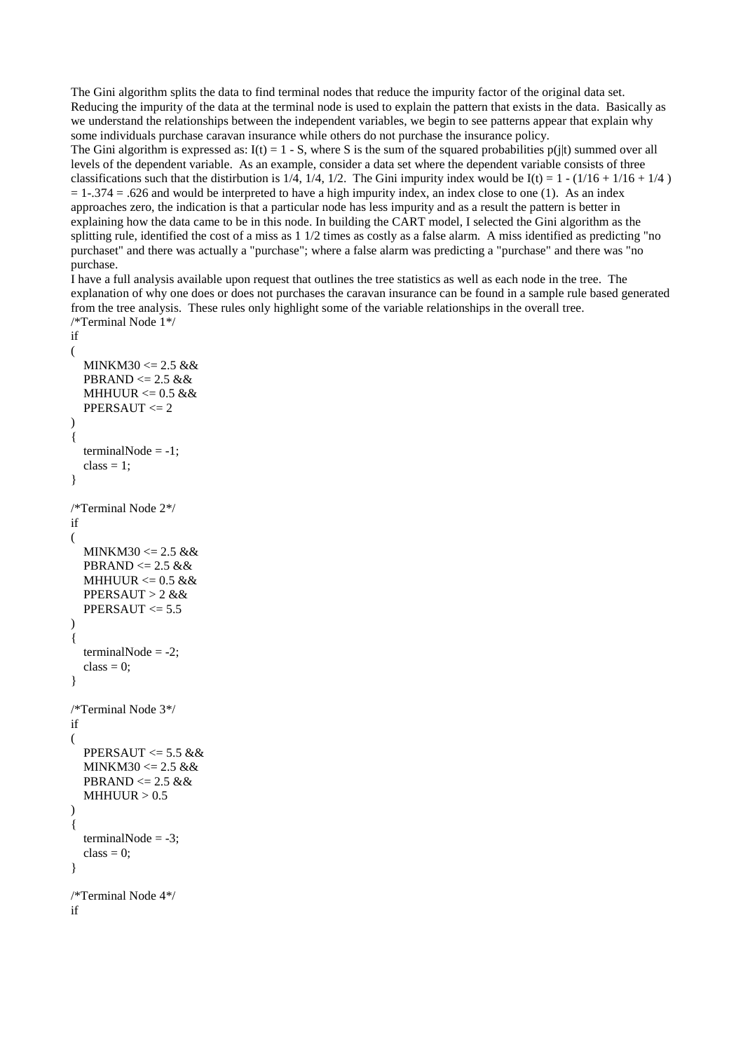The Gini algorithm splits the data to find terminal nodes that reduce the impurity factor of the original data set. Reducing the impurity of the data at the terminal node is used to explain the pattern that exists in the data. Basically as we understand the relationships between the independent variables, we begin to see patterns appear that explain why some individuals purchase caravan insurance while others do not purchase the insurance policy.

The Gini algorithm is expressed as:  $I(t) = 1 - S$ , where S is the sum of the squared probabilities p(jt) summed over all levels of the dependent variable. As an example, consider a data set where the dependent variable consists of three classifications such that the distirbution is 1/4, 1/4, 1/2. The Gini impurity index would be  $I(t) = 1 - (1/16 + 1/16 + 1/4)$  $= 1-374 = 0.626$  and would be interpreted to have a high impurity index, an index close to one (1). As an index approaches zero, the indication is that a particular node has less impurity and as a result the pattern is better in explaining how the data came to be in this node. In building the CART model, I selected the Gini algorithm as the splitting rule, identified the cost of a miss as  $1/2$  times as costly as a false alarm. A miss identified as predicting "no purchaset" and there was actually a "purchase"; where a false alarm was predicting a "purchase" and there was "no purchase.

I have a full analysis available upon request that outlines the tree statistics as well as each node in the tree. The explanation of why one does or does not purchases the caravan insurance can be found in a sample rule based generated from the tree analysis. These rules only highlight some of the variable relationships in the overall tree. /\*Terminal Node 1\*/

```
if
(
  MINKM30 \le 2.5 \&\&PBRAND \leq 2.5 &&
  MHHUUR \leq 0.5 &&
   PPERSAUT <= 2
)
{
  terminalNode = -1;
  class = 1;
}
/*Terminal Node 2*/
if
(
   MINKM30 <= 2.5 &&
  PBRAND \leq 2.5 &&
  MHHUUR \lt= 0.5 &&
   PPERSAUT > 2 &&
  PPERSAUT \leq 5.5)
{
  terminalNode = -2;
  class = 0;
}
/*Terminal Node 3*/
if
(
  PPERSAUT \leq 5.5 &&
   MINKM30 <= 2.5 &&
  PBRAND \leq 2.5 &&
  MHHUUR > 0.5)
{
  terminalNode = -3;
  class = 0;}
/*Terminal Node 4*/
if
```